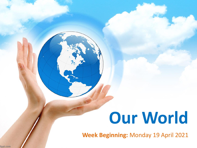# **Our World**

**Week Beginning:** Monday 19 April 2021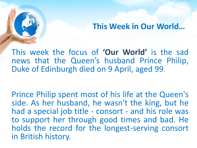## **This Week in Our World…**

This week the focus of **'Our World'** is the sad news that the Queen's husband Prince Philip, Duke of Edinburgh died on 9 April, aged 99.

Prince Philip spent most of his life at the Queen's side. As her husband, he wasn't the king, but he had a special job title - consort - and his role was to support her through good times and bad. He holds the record for the longest-serving consort in British history.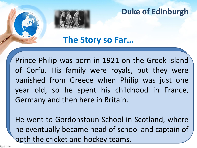**The Story so Far…**

Prince Philip was born in 1921 on the Greek island of Corfu. His family were royals, but they were banished from Greece when Philip was just one year old, so he spent his childhood in France, Germany and then here in Britain.

He went to Gordonstoun School in Scotland, where he eventually became head of school and captain of both the cricket and hockey teams.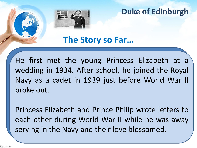**The Story so Far…**

He first met the young Princess Elizabeth at a wedding in 1934. After school, he joined the Royal Navy as a cadet in 1939 just before World War II broke out.

Princess Elizabeth and Prince Philip wrote letters to each other during World War II while he was away serving in the Navy and their love blossomed.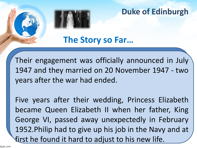**The Story so Far…**

Their engagement was officially announced in July 1947 and they married on 20 November 1947 - two years after the war had ended.

Five years after their wedding, Princess Elizabeth became Queen Elizabeth II when her father, King George VI, passed away unexpectedly in February 1952.Philip had to give up his job in the Navy and at first he found it hard to adjust to his new life.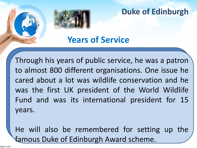**Years of Service**

Through his years of public service, he was a patron to almost 800 different organisations. One issue he cared about a lot was wildlife conservation and he was the first UK president of the World Wildlife Fund and was its international president for 15 years.

He will also be remembered for setting up the famous Duke of Edinburgh Award scheme.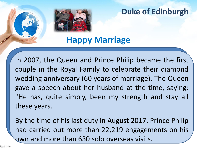

**Happy Marriage**

In 2007, the Queen and Prince Philip became the first couple in the Royal Family to celebrate their diamond wedding anniversary (60 years of marriage). The Queen gave a speech about her husband at the time, saying: "He has, quite simply, been my strength and stay all these years.

By the time of his last duty in August 2017, Prince Philip had carried out more than 22,219 engagements on his own and more than 630 solo overseas visits.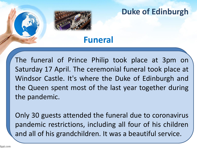# **Funeral**

The funeral of Prince Philip took place at 3pm on Saturday 17 April. The ceremonial funeral took place at Windsor Castle. It's where the Duke of Edinburgh and the Queen spent most of the last year together during the pandemic.

Only 30 guests attended the funeral due to coronavirus pandemic restrictions, including all four of his children and all of his grandchildren. It was a beautiful service.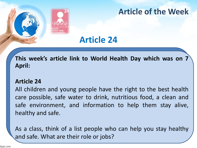

# **Article of the Week**

# **Article 24**

**This week's article link to World Health Day which was on 7 April:**

#### **Article 24**

All children and young people have the right to the best health care possible, safe water to drink, nutritious food, a clean and safe environment, and information to help them stay alive, healthy and safe.

As a class, think of a list people who can help you stay healthy and safe. What are their role or jobs?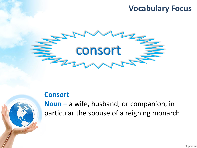# **Vocabulary Focus**



#### **Consort**



**Noun –** a wife, husband, or companion, in particular the spouse of a reigning monarch